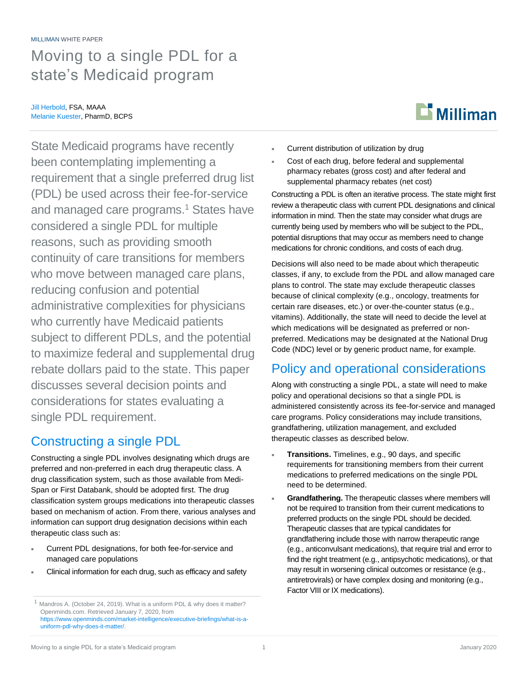# Moving to a single PDL for a state's Medicaid program

#### Jill Herbold, FSA, MAAA Melanie Kuester, PharmD, BCPS

State Medicaid programs have recently been contemplating implementing a requirement that a single preferred drug list (PDL) be used across their fee-for-service and managed care programs. <sup>1</sup> States have considered a single PDL for multiple reasons, such as providing smooth continuity of care transitions for members who move between managed care plans, reducing confusion and potential administrative complexities for physicians who currently have Medicaid patients subject to different PDLs, and the potential to maximize federal and supplemental drug rebate dollars paid to the state. This paper discusses several decision points and considerations for states evaluating a single PDL requirement.

# Constructing a single PDL

Constructing a single PDL involves designating which drugs are preferred and non-preferred in each drug therapeutic class. A drug classification system, such as those available from Medi-Span or First Databank, should be adopted first. The drug classification system groups medications into therapeutic classes based on mechanism of action. From there, various analyses and information can support drug designation decisions within each therapeutic class such as:

- **Current PDL designations, for both fee-for-service and** managed care populations
- Clinical information for each drug, such as efficacy and safety



- Current distribution of utilization by drug
- Cost of each drug, before federal and supplemental pharmacy rebates (gross cost) and after federal and supplemental pharmacy rebates (net cost)

Constructing a PDL is often an iterative process. The state might first review a therapeutic class with current PDL designations and clinical information in mind. Then the state may consider what drugs are currently being used by members who will be subject to the PDL, potential disruptions that may occur as members need to change medications for chronic conditions, and costs of each drug.

Decisions will also need to be made about which therapeutic classes, if any, to exclude from the PDL and allow managed care plans to control. The state may exclude therapeutic classes because of clinical complexity (e.g., oncology, treatments for certain rare diseases, etc.) or over-the-counter status (e.g., vitamins). Additionally, the state will need to decide the level at which medications will be designated as preferred or nonpreferred. Medications may be designated at the National Drug Code (NDC) level or by generic product name, for example.

## Policy and operational considerations

Along with constructing a single PDL, a state will need to make policy and operational decisions so that a single PDL is administered consistently across its fee-for-service and managed care programs. Policy considerations may include transitions, grandfathering, utilization management, and excluded therapeutic classes as described below.

- **Transitions.** Timelines, e.g., 90 days, and specific requirements for transitioning members from their current medications to preferred medications on the single PDL need to be determined.
- **Grandfathering.** The therapeutic classes where members will not be required to transition from their current medications to preferred products on the single PDL should be decided. Therapeutic classes that are typical candidates for grandfathering include those with narrow therapeutic range (e.g., anticonvulsant medications), that require trial and error to find the right treatment (e.g., antipsychotic medications), or that may result in worsening clinical outcomes or resistance (e.g., antiretrovirals) or have complex dosing and monitoring (e.g., Factor VIII or IX medications).

<sup>&</sup>lt;sup>1</sup> Mandros A. (October 24, 2019). What is a uniform PDL & why does it matter? Openminds.com. Retrieved January 7, 2020, from [https://www.openminds.com/market-intelligence/executive-briefings/what-is-a](https://www.openminds.com/market-intelligence/executive-briefings/what-is-a-uniform-pdl-why-does-it-matter/)[uniform-pdl-why-does-it-matter/.](https://www.openminds.com/market-intelligence/executive-briefings/what-is-a-uniform-pdl-why-does-it-matter/)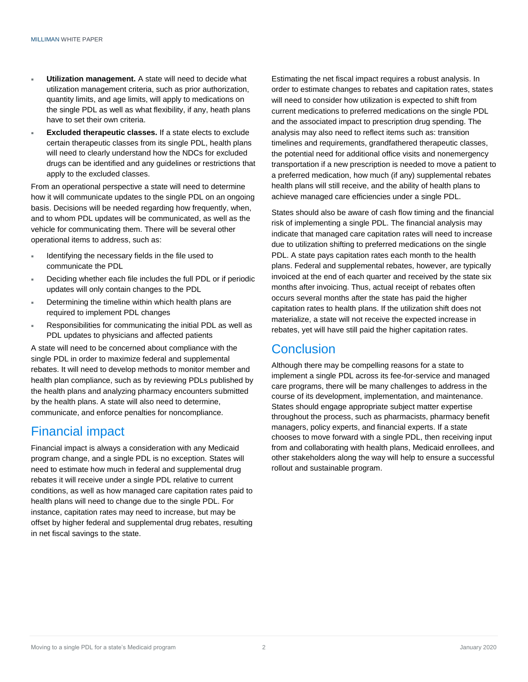- **Utilization management.** A state will need to decide what utilization management criteria, such as prior authorization, quantity limits, and age limits, will apply to medications on the single PDL as well as what flexibility, if any, heath plans have to set their own criteria.
- **Excluded therapeutic classes.** If a state elects to exclude certain therapeutic classes from its single PDL, health plans will need to clearly understand how the NDCs for excluded drugs can be identified and any guidelines or restrictions that apply to the excluded classes.

From an operational perspective a state will need to determine how it will communicate updates to the single PDL on an ongoing basis. Decisions will be needed regarding how frequently, when, and to whom PDL updates will be communicated, as well as the vehicle for communicating them. There will be several other operational items to address, such as:

- Identifying the necessary fields in the file used to communicate the PDL
- Deciding whether each file includes the full PDL or if periodic updates will only contain changes to the PDL
- Determining the timeline within which health plans are required to implement PDL changes
- Responsibilities for communicating the initial PDL as well as PDL updates to physicians and affected patients

A state will need to be concerned about compliance with the single PDL in order to maximize federal and supplemental rebates. It will need to develop methods to monitor member and health plan compliance, such as by reviewing PDLs published by the health plans and analyzing pharmacy encounters submitted by the health plans. A state will also need to determine, communicate, and enforce penalties for noncompliance.

### Financial impact

Financial impact is always a consideration with any Medicaid program change, and a single PDL is no exception. States will need to estimate how much in federal and supplemental drug rebates it will receive under a single PDL relative to current conditions, as well as how managed care capitation rates paid to health plans will need to change due to the single PDL. For instance, capitation rates may need to increase, but may be offset by higher federal and supplemental drug rebates, resulting in net fiscal savings to the state.

Estimating the net fiscal impact requires a robust analysis. In order to estimate changes to rebates and capitation rates, states will need to consider how utilization is expected to shift from current medications to preferred medications on the single PDL and the associated impact to prescription drug spending. The analysis may also need to reflect items such as: transition timelines and requirements, grandfathered therapeutic classes, the potential need for additional office visits and nonemergency transportation if a new prescription is needed to move a patient to a preferred medication, how much (if any) supplemental rebates health plans will still receive, and the ability of health plans to achieve managed care efficiencies under a single PDL.

States should also be aware of cash flow timing and the financial risk of implementing a single PDL. The financial analysis may indicate that managed care capitation rates will need to increase due to utilization shifting to preferred medications on the single PDL. A state pays capitation rates each month to the health plans. Federal and supplemental rebates, however, are typically invoiced at the end of each quarter and received by the state six months after invoicing. Thus, actual receipt of rebates often occurs several months after the state has paid the higher capitation rates to health plans. If the utilization shift does not materialize, a state will not receive the expected increase in rebates, yet will have still paid the higher capitation rates.

### **Conclusion**

Although there may be compelling reasons for a state to implement a single PDL across its fee-for-service and managed care programs, there will be many challenges to address in the course of its development, implementation, and maintenance. States should engage appropriate subject matter expertise throughout the process, such as pharmacists, pharmacy benefit managers, policy experts, and financial experts. If a state chooses to move forward with a single PDL, then receiving input from and collaborating with health plans, Medicaid enrollees, and other stakeholders along the way will help to ensure a successful rollout and sustainable program.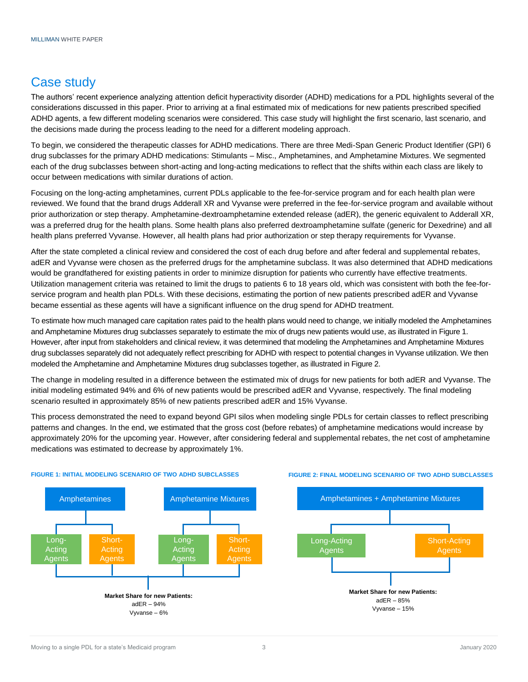### Case study

The authors' recent experience analyzing attention deficit hyperactivity disorder (ADHD) medications for a PDL highlights several of the considerations discussed in this paper. Prior to arriving at a final estimated mix of medications for new patients prescribed specified ADHD agents, a few different modeling scenarios were considered. This case study will highlight the first scenario, last scenario, and the decisions made during the process leading to the need for a different modeling approach.

To begin, we considered the therapeutic classes for ADHD medications. There are three Medi-Span Generic Product Identifier (GPI) 6 drug subclasses for the primary ADHD medications: Stimulants – Misc., Amphetamines, and Amphetamine Mixtures. We segmented each of the drug subclasses between short-acting and long-acting medications to reflect that the shifts within each class are likely to occur between medications with similar durations of action.

Focusing on the long-acting amphetamines, current PDLs applicable to the fee-for-service program and for each health plan were reviewed. We found that the brand drugs Adderall XR and Vyvanse were preferred in the fee-for-service program and available without prior authorization or step therapy. Amphetamine-dextroamphetamine extended release (adER), the generic equivalent to Adderall XR, was a preferred drug for the health plans. Some health plans also preferred dextroamphetamine sulfate (generic for Dexedrine) and all health plans preferred Vyvanse. However, all health plans had prior authorization or step therapy requirements for Vyvanse.

After the state completed a clinical review and considered the cost of each drug before and after federal and supplemental rebates, adER and Vyvanse were chosen as the preferred drugs for the amphetamine subclass. It was also determined that ADHD medications would be grandfathered for existing patients in order to minimize disruption for patients who currently have effective treatments. Utilization management criteria was retained to limit the drugs to patients 6 to 18 years old, which was consistent with both the fee-forservice program and health plan PDLs. With these decisions, estimating the portion of new patients prescribed adER and Vyvanse became essential as these agents will have a significant influence on the drug spend for ADHD treatment.

To estimate how much managed care capitation rates paid to the health plans would need to change, we initially modeled the Amphetamines and Amphetamine Mixtures drug subclasses separately to estimate the mix of drugs new patients would use, as illustrated in Figure 1. However, after input from stakeholders and clinical review, it was determined that modeling the Amphetamines and Amphetamine Mixtures drug subclasses separately did not adequately reflect prescribing for ADHD with respect to potential changes in Vyvanse utilization. We then modeled the Amphetamine and Amphetamine Mixtures drug subclasses together, as illustrated in Figure 2.

The change in modeling resulted in a difference between the estimated mix of drugs for new patients for both adER and Vyvanse. The initial modeling estimated 94% and 6% of new patients would be prescribed adER and Vyvanse, respectively. The final modeling scenario resulted in approximately 85% of new patients prescribed adER and 15% Vyvanse.

This process demonstrated the need to expand beyond GPI silos when modeling single PDLs for certain classes to reflect prescribing patterns and changes. In the end, we estimated that the gross cost (before rebates) of amphetamine medications would increase by approximately 20% for the upcoming year. However, after considering federal and supplemental rebates, the net cost of amphetamine medications was estimated to decrease by approximately 1%.



#### **FIGURE 1: INITIAL MODELING SCENARIO OF TWO ADHD SUBCLASSES**

#### **FIGURE 2: FINAL MODELING SCENARIO OF TWO ADHD SUBCLASSES**